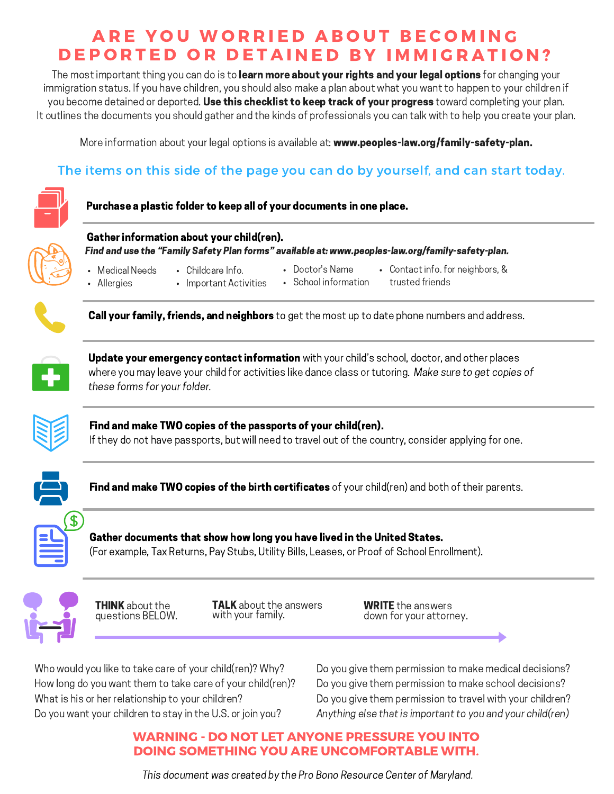# ARE YOU WORRIED ABOUT BECOMING D E PORTED OR DETAINED BY IMMIGRATION?

The most important thing you can do is to learn more about your rights and your legal options for changing your immigration status. If you have children, you should also make a plan about what you want to happen to your children if you become detained or deported. Use this checklist to keep track of your progress toward completing your plan. It outlines the documents you should gather and the kinds of professionals you can talk with to help you create your plan.

More information about your legal options is available at: www.peoples-law.org/family-safety-plan.

# The items on this side of the page you can do by yourself, and can start today.



Purchase a plastic folder to keep all of your documents in one place.



Find and use the "Family Safety Plan forms" available at: www.peoples-law.org/family-safety-plan. Gather information about your child(ren).

- Medical Needs Allergies
- Childcare Info. • Important Activities
- Doctor's Name • School information
- Contact info. for neighbors, & trusted friends

**Call your family, friends, and neighbors** to get the most up to date phone numbers and address.



Update your emergency contact information with your child's school, doctor, and other places where you may leave your child for activities like dance class or tutoring. Make sure to get copies of these forms for your folder.



Find and make TWO copies of the passports of your child(ren). If they do not have passports, but will need to travel out of the country, consider applying for one.



Find and make TWO copies of the birth certificates of your child(ren) and both of their parents.





**THINK** about the questions BELOW. **TALK** about the answers with your family.

WRITE the answers down for your attorney.

Who would you like to take care of your child(ren)? Why? How long do you want them to take care of your child(ren)? What is his or her relationship to your children? Do you want your children to stay in the U.S. or join you?

Do you give them permission to make medical decisions? Do you give them permission to make school decisions? Do you give them permission to travel with your children? Anything else that is important to you and your child(ren)

# WARNING - DO NOT LET ANYONE PRESSURE YOU INTO DOING SOMETHING YOU ARE UNCOMFORTABLE WITH.

This document was created by the Pro Bono Resource Center of Maryland.